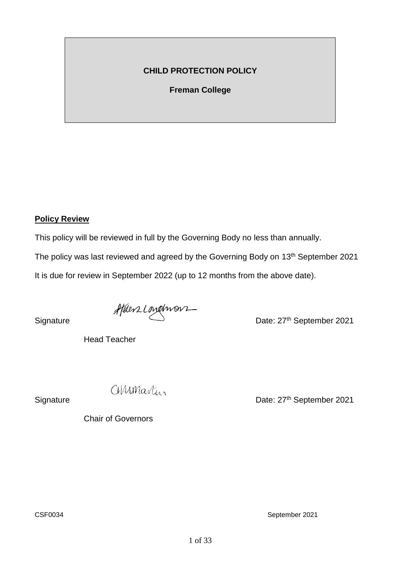## **CHILD PROTECTION POLICY**

**Freman College**

### **Policy Review**

This policy will be reviewed in full by the Governing Body no less than annually.

The policy was last reviewed and agreed by the Governing Body on 13<sup>th</sup> September 2021

It is due for review in September 2022 (up to 12 months from the above date).

Signature *Aftlers Longhvorn*<br>Date: 27<sup>th</sup> September 2021

Head Teacher

Chair of Governors

CMMMastur

Signature Date: 27<sup>th</sup> September 2021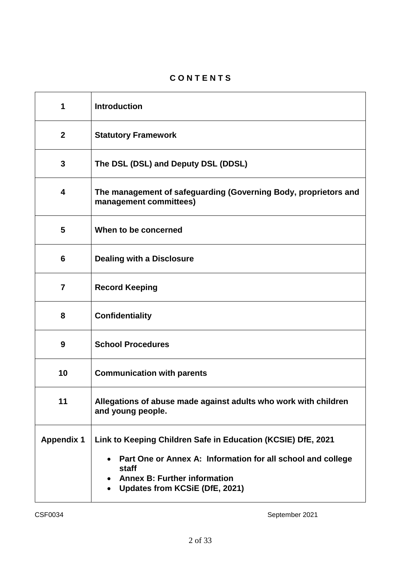# **C O N T E N T S**

| 1                       | <b>Introduction</b>                                                                                                                                                                                                        |
|-------------------------|----------------------------------------------------------------------------------------------------------------------------------------------------------------------------------------------------------------------------|
| $\boldsymbol{2}$        | <b>Statutory Framework</b>                                                                                                                                                                                                 |
| 3                       | The DSL (DSL) and Deputy DSL (DDSL)                                                                                                                                                                                        |
| $\overline{\mathbf{4}}$ | The management of safeguarding (Governing Body, proprietors and<br>management committees)                                                                                                                                  |
| 5                       | When to be concerned                                                                                                                                                                                                       |
| 6                       | <b>Dealing with a Disclosure</b>                                                                                                                                                                                           |
| $\overline{7}$          | <b>Record Keeping</b>                                                                                                                                                                                                      |
| 8                       | <b>Confidentiality</b>                                                                                                                                                                                                     |
| 9                       | <b>School Procedures</b>                                                                                                                                                                                                   |
| 10                      | <b>Communication with parents</b>                                                                                                                                                                                          |
| 11                      | Allegations of abuse made against adults who work with children<br>and young people.                                                                                                                                       |
| <b>Appendix 1</b>       | Link to Keeping Children Safe in Education (KCSIE) DfE, 2021<br>Part One or Annex A: Information for all school and college<br>staff<br><b>Annex B: Further information</b><br>Updates from KCSiE (DfE, 2021)<br>$\bullet$ |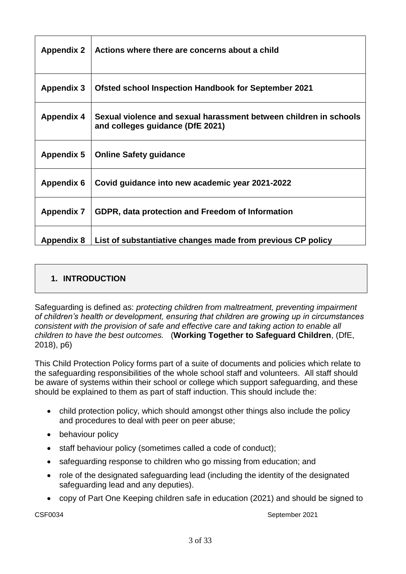| <b>Appendix 2</b> | Actions where there are concerns about a child                                                        |
|-------------------|-------------------------------------------------------------------------------------------------------|
| <b>Appendix 3</b> | <b>Ofsted school Inspection Handbook for September 2021</b>                                           |
| <b>Appendix 4</b> | Sexual violence and sexual harassment between children in schools<br>and colleges guidance (DfE 2021) |
| <b>Appendix 5</b> | <b>Online Safety guidance</b>                                                                         |
| <b>Appendix 6</b> | Covid guidance into new academic year 2021-2022                                                       |
| <b>Appendix 7</b> | GDPR, data protection and Freedom of Information                                                      |
| <b>Appendix 8</b> | List of substantiative changes made from previous CP policy                                           |

# **1. INTRODUCTION**

Safeguarding is defined as: *protecting children from maltreatment, preventing impairment of children's health or development, ensuring that children are growing up in circumstances consistent with the provision of safe and effective care and taking action to enable all children to have the best outcomes.* (**Working Together to Safeguard Children**, (DfE, 2018), p6)

This Child Protection Policy forms part of a suite of documents and policies which relate to the safeguarding responsibilities of the whole school staff and volunteers. All staff should be aware of systems within their school or college which support safeguarding, and these should be explained to them as part of staff induction. This should include the:

- child protection policy, which should amongst other things also include the policy and procedures to deal with peer on peer abuse;
- behaviour policy
- staff behaviour policy (sometimes called a code of conduct);
- safeguarding response to children who go missing from education; and
- role of the designated safeguarding lead (including the identity of the designated safeguarding lead and any deputies).
- copy of Part One Keeping children safe in education (2021) and should be signed to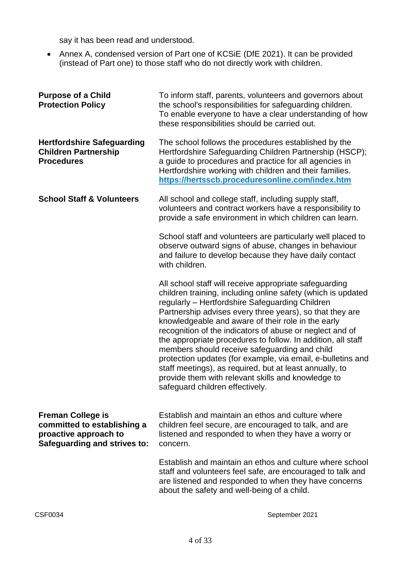say it has been read and understood.

• Annex A, condensed version of Part one of KCSiE (DfE 2021). It can be provided (instead of Part one) to those staff who do not directly work with children.

| <b>Purpose of a Child</b><br><b>Protection Policy</b>                                                            | To inform staff, parents, volunteers and governors about<br>the school's responsibilities for safeguarding children.<br>To enable everyone to have a clear understanding of how<br>these responsibilities should be carried out.                                                                                                                                                                                                                                                                                                                                                                                                                                                            |
|------------------------------------------------------------------------------------------------------------------|---------------------------------------------------------------------------------------------------------------------------------------------------------------------------------------------------------------------------------------------------------------------------------------------------------------------------------------------------------------------------------------------------------------------------------------------------------------------------------------------------------------------------------------------------------------------------------------------------------------------------------------------------------------------------------------------|
| <b>Hertfordshire Safeguarding</b><br><b>Children Partnership</b><br><b>Procedures</b>                            | The school follows the procedures established by the<br>Hertfordshire Safeguarding Children Partnership (HSCP);<br>a guide to procedures and practice for all agencies in<br>Hertfordshire working with children and their families.<br>https://hertsscb.proceduresonline.com/index.htm                                                                                                                                                                                                                                                                                                                                                                                                     |
| <b>School Staff &amp; Volunteers</b>                                                                             | All school and college staff, including supply staff,<br>volunteers and contract workers have a responsibility to<br>provide a safe environment in which children can learn.                                                                                                                                                                                                                                                                                                                                                                                                                                                                                                                |
|                                                                                                                  | School staff and volunteers are particularly well placed to<br>observe outward signs of abuse, changes in behaviour<br>and failure to develop because they have daily contact<br>with children.                                                                                                                                                                                                                                                                                                                                                                                                                                                                                             |
|                                                                                                                  | All school staff will receive appropriate safeguarding<br>children training, including online safety (which is updated<br>regularly - Hertfordshire Safeguarding Children<br>Partnership advises every three years), so that they are<br>knowledgeable and aware of their role in the early<br>recognition of the indicators of abuse or neglect and of<br>the appropriate procedures to follow. In addition, all staff<br>members should receive safeguarding and child<br>protection updates (for example, via email, e-bulletins and<br>staff meetings), as required, but at least annually, to<br>provide them with relevant skills and knowledge to<br>safeguard children effectively. |
| <b>Freman College is</b><br>committed to establishing a<br>proactive approach to<br>Safeguarding and strives to: | Establish and maintain an ethos and culture where<br>children feel secure, are encouraged to talk, and are<br>listened and responded to when they have a worry or<br>concern.                                                                                                                                                                                                                                                                                                                                                                                                                                                                                                               |
|                                                                                                                  | Establish and maintain an ethos and culture where school<br>staff and volunteers feel safe, are encouraged to talk and<br>are listened and responded to when they have concerns<br>about the safety and well-being of a child.                                                                                                                                                                                                                                                                                                                                                                                                                                                              |
| CSF0034                                                                                                          | September 2021                                                                                                                                                                                                                                                                                                                                                                                                                                                                                                                                                                                                                                                                              |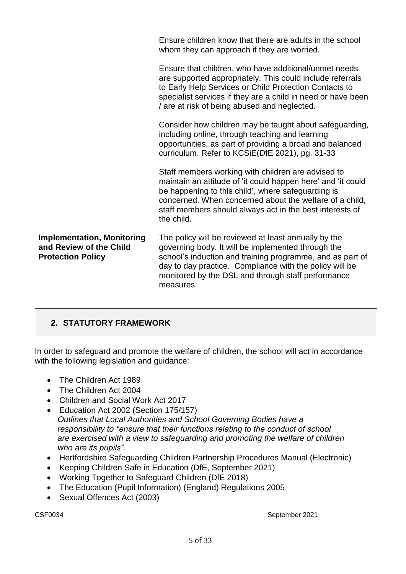|                                                                                          | Ensure children know that there are adults in the school<br>whom they can approach if they are worried.                                                                                                                                                                                                       |
|------------------------------------------------------------------------------------------|---------------------------------------------------------------------------------------------------------------------------------------------------------------------------------------------------------------------------------------------------------------------------------------------------------------|
|                                                                                          | Ensure that children, who have additional/unmet needs<br>are supported appropriately. This could include referrals<br>to Early Help Services or Child Protection Contacts to<br>specialist services if they are a child in need or have been<br>/ are at risk of being abused and neglected.                  |
|                                                                                          | Consider how children may be taught about safeguarding,<br>including online, through teaching and learning<br>opportunities, as part of providing a broad and balanced<br>curriculum. Refer to KCSiE(DfE 2021), pg. 31-33                                                                                     |
|                                                                                          | Staff members working with children are advised to<br>maintain an attitude of 'it could happen here' and 'it could<br>be happening to this child', where safeguarding is<br>concerned. When concerned about the welfare of a child,<br>staff members should always act in the best interests of<br>the child. |
| <b>Implementation, Monitoring</b><br>and Review of the Child<br><b>Protection Policy</b> | The policy will be reviewed at least annually by the<br>governing body. It will be implemented through the<br>school's induction and training programme, and as part of<br>day to day practice. Compliance with the policy will be<br>monitored by the DSL and through staff performance<br>measures.         |

# **2. STATUTORY FRAMEWORK**

In order to safeguard and promote the welfare of children, the school will act in accordance with the following legislation and guidance:

- The Children Act 1989
- The Children Act 2004
- Children and Social Work Act 2017
- Education Act 2002 (Section 175/157) *Outlines that Local Authorities and School Governing Bodies have a responsibility to "ensure that their functions relating to the conduct of school are exercised with a view to safeguarding and promoting the welfare of children who are its pupils".*
- Hertfordshire Safeguarding Children Partnership Procedures Manual (Electronic)
- Keeping Children Safe in Education (DfE, September 2021)
- Working Together to Safeguard Children (DfE 2018)
- The Education (Pupil Information) (England) Regulations 2005
- Sexual Offences Act (2003)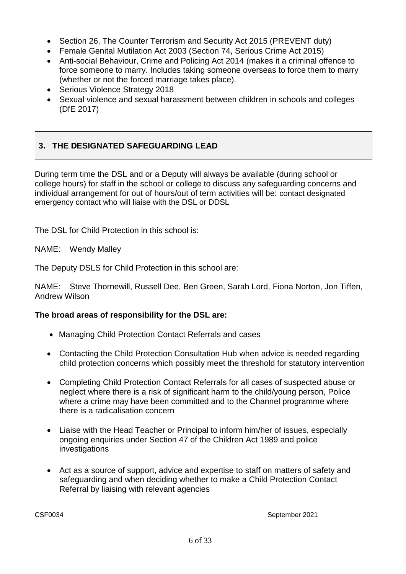- Section 26, The Counter Terrorism and Security Act 2015 (PREVENT duty)
- Female Genital Mutilation Act 2003 (Section 74, Serious Crime Act 2015)
- Anti-social Behaviour, Crime and Policing Act 2014 (makes it a criminal offence to force someone to marry. Includes taking someone overseas to force them to marry (whether or not the forced marriage takes place).
- Serious Violence Strategy 2018
- Sexual violence and sexual harassment between children in schools and colleges (DfE 2017)

# **3. THE DESIGNATED SAFEGUARDING LEAD**

During term time the DSL and or a Deputy will always be available (during school or college hours) for staff in the school or college to discuss any safeguarding concerns and individual arrangement for out of hours/out of term activities will be: contact designated emergency contact who will liaise with the DSL or DDSL

The DSL for Child Protection in this school is:

NAME: Wendy Malley

The Deputy DSLS for Child Protection in this school are:

NAME: Steve Thornewill, Russell Dee, Ben Green, Sarah Lord, Fiona Norton, Jon Tiffen, Andrew Wilson

### **The broad areas of responsibility for the DSL are:**

- Managing Child Protection Contact Referrals and cases
- Contacting the Child Protection Consultation Hub when advice is needed regarding child protection concerns which possibly meet the threshold for statutory intervention
- Completing Child Protection Contact Referrals for all cases of suspected abuse or neglect where there is a risk of significant harm to the child/young person, Police where a crime may have been committed and to the Channel programme where there is a radicalisation concern
- Liaise with the Head Teacher or Principal to inform him/her of issues, especially ongoing enquiries under Section 47 of the Children Act 1989 and police investigations
- Act as a source of support, advice and expertise to staff on matters of safety and safeguarding and when deciding whether to make a Child Protection Contact Referral by liaising with relevant agencies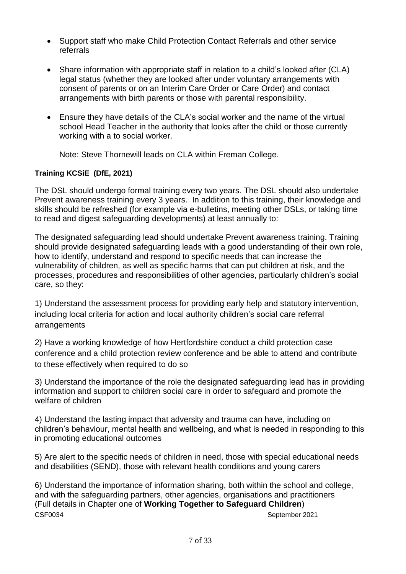- Support staff who make Child Protection Contact Referrals and other service referrals
- Share information with appropriate staff in relation to a child's looked after (CLA) legal status (whether they are looked after under voluntary arrangements with consent of parents or on an Interim Care Order or Care Order) and contact arrangements with birth parents or those with parental responsibility.
- Ensure they have details of the CLA's social worker and the name of the virtual school Head Teacher in the authority that looks after the child or those currently working with a to social worker.

Note: Steve Thornewill leads on CLA within Freman College.

### **Training KCSiE (DfE, 2021)**

The DSL should undergo formal training every two years. The DSL should also undertake Prevent awareness training every 3 years. In addition to this training, their knowledge and skills should be refreshed (for example via e-bulletins, meeting other DSLs, or taking time to read and digest safeguarding developments) at least annually to:

The designated safeguarding lead should undertake Prevent awareness training. Training should provide designated safeguarding leads with a good understanding of their own role, how to identify, understand and respond to specific needs that can increase the vulnerability of children, as well as specific harms that can put children at risk, and the processes, procedures and responsibilities of other agencies, particularly children's social care, so they:

1) Understand the assessment process for providing early help and statutory intervention, including local criteria for action and local authority children's social care referral arrangements

2) Have a working knowledge of how Hertfordshire conduct a child protection case conference and a child protection review conference and be able to attend and contribute to these effectively when required to do so

3) Understand the importance of the role the designated safeguarding lead has in providing information and support to children social care in order to safeguard and promote the welfare of children

4) Understand the lasting impact that adversity and trauma can have, including on children's behaviour, mental health and wellbeing, and what is needed in responding to this in promoting educational outcomes

5) Are alert to the specific needs of children in need, those with special educational needs and disabilities (SEND), those with relevant health conditions and young carers

CSF0034 September 2021 6) Understand the importance of information sharing, both within the school and college, and with the safeguarding partners, other agencies, organisations and practitioners (Full details in Chapter one of **Working Together to Safeguard Children**)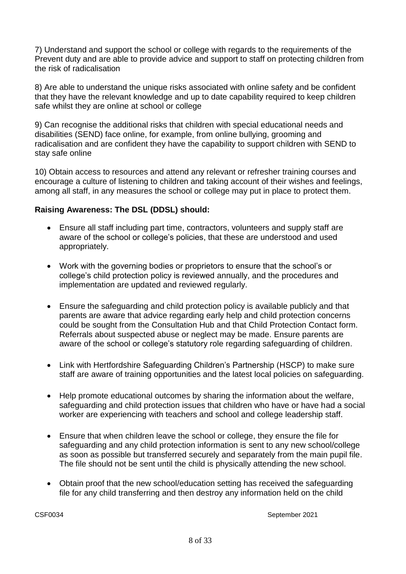7) Understand and support the school or college with regards to the requirements of the Prevent duty and are able to provide advice and support to staff on protecting children from the risk of radicalisation

8) Are able to understand the unique risks associated with online safety and be confident that they have the relevant knowledge and up to date capability required to keep children safe whilst they are online at school or college

9) Can recognise the additional risks that children with special educational needs and disabilities (SEND) face online, for example, from online bullying, grooming and radicalisation and are confident they have the capability to support children with SEND to stay safe online

10) Obtain access to resources and attend any relevant or refresher training courses and encourage a culture of listening to children and taking account of their wishes and feelings, among all staff, in any measures the school or college may put in place to protect them.

## **Raising Awareness: The DSL (DDSL) should:**

- Ensure all staff including part time, contractors, volunteers and supply staff are aware of the school or college's policies, that these are understood and used appropriately.
- Work with the governing bodies or proprietors to ensure that the school's or college's child protection policy is reviewed annually, and the procedures and implementation are updated and reviewed regularly.
- Ensure the safeguarding and child protection policy is available publicly and that parents are aware that advice regarding early help and child protection concerns could be sought from the Consultation Hub and that Child Protection Contact form. Referrals about suspected abuse or neglect may be made. Ensure parents are aware of the school or college's statutory role regarding safeguarding of children.
- Link with Hertfordshire Safeguarding Children's Partnership (HSCP) to make sure staff are aware of training opportunities and the latest local policies on safeguarding.
- Help promote educational outcomes by sharing the information about the welfare, safeguarding and child protection issues that children who have or have had a social worker are experiencing with teachers and school and college leadership staff.
- Ensure that when children leave the school or college, they ensure the file for safeguarding and any child protection information is sent to any new school/college as soon as possible but transferred securely and separately from the main pupil file. The file should not be sent until the child is physically attending the new school.
- Obtain proof that the new school/education setting has received the safeguarding file for any child transferring and then destroy any information held on the child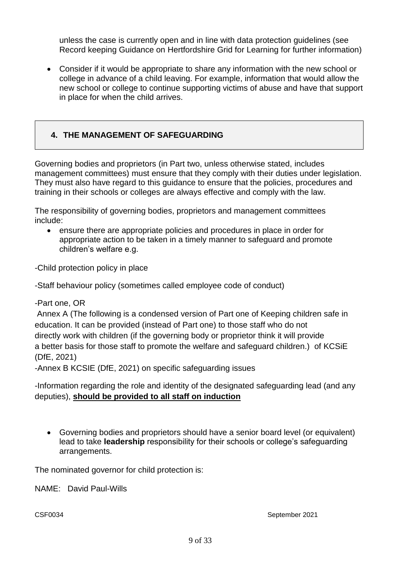unless the case is currently open and in line with data protection guidelines (see Record keeping Guidance on Hertfordshire Grid for Learning for further information)

• Consider if it would be appropriate to share any information with the new school or college in advance of a child leaving. For example, information that would allow the new school or college to continue supporting victims of abuse and have that support in place for when the child arrives.

# **4. THE MANAGEMENT OF SAFEGUARDING**

Governing bodies and proprietors (in Part two, unless otherwise stated, includes management committees) must ensure that they comply with their duties under legislation. They must also have regard to this guidance to ensure that the policies, procedures and training in their schools or colleges are always effective and comply with the law.

The responsibility of governing bodies, proprietors and management committees include:

• ensure there are appropriate policies and procedures in place in order for appropriate action to be taken in a timely manner to safeguard and promote children's welfare e.g.

-Child protection policy in place

-Staff behaviour policy (sometimes called employee code of conduct)

-Part one, OR

Annex A (The following is a condensed version of Part one of Keeping children safe in education. It can be provided (instead of Part one) to those staff who do not directly work with children (if the governing body or proprietor think it will provide a better basis for those staff to promote the welfare and safeguard children.) of KCSiE (DfE, 2021)

-Annex B KCSIE (DfE, 2021) on specific safeguarding issues

-Information regarding the role and identity of the designated safeguarding lead (and any deputies), **should be provided to all staff on induction**

• Governing bodies and proprietors should have a senior board level (or equivalent) lead to take **leadership** responsibility for their schools or college's safeguarding arrangements.

The nominated governor for child protection is:

NAME: David Paul-Wills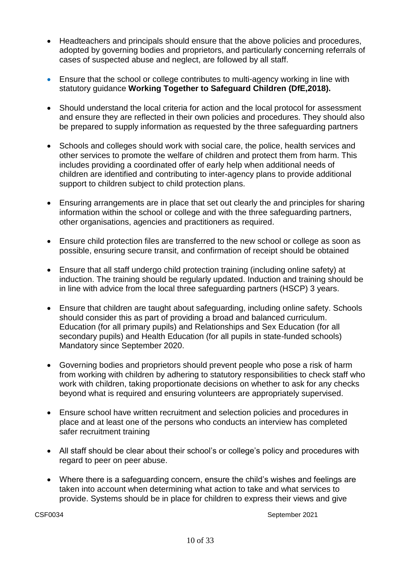- Headteachers and principals should ensure that the above policies and procedures, adopted by governing bodies and proprietors, and particularly concerning referrals of cases of suspected abuse and neglect, are followed by all staff.
- Ensure that the school or college contributes to multi-agency working in line with statutory guidance **Working Together to Safeguard Children (DfE,2018).**
- Should understand the local criteria for action and the local protocol for assessment and ensure they are reflected in their own policies and procedures. They should also be prepared to supply information as requested by the three safeguarding partners
- Schools and colleges should work with social care, the police, health services and other services to promote the welfare of children and protect them from harm. This includes providing a coordinated offer of early help when additional needs of children are identified and contributing to inter-agency plans to provide additional support to children subject to child protection plans.
- Ensuring arrangements are in place that set out clearly the and principles for sharing information within the school or college and with the three safeguarding partners, other organisations, agencies and practitioners as required.
- Ensure child protection files are transferred to the new school or college as soon as possible, ensuring secure transit, and confirmation of receipt should be obtained
- Ensure that all staff undergo child protection training (including online safety) at induction. The training should be regularly updated. Induction and training should be in line with advice from the local three safeguarding partners (HSCP) 3 years.
- Ensure that children are taught about safeguarding, including online safety. Schools should consider this as part of providing a broad and balanced curriculum. Education (for all primary pupils) and Relationships and Sex Education (for all secondary pupils) and Health Education (for all pupils in state-funded schools) Mandatory since September 2020.
- Governing bodies and proprietors should prevent people who pose a risk of harm from working with children by adhering to statutory responsibilities to check staff who work with children, taking proportionate decisions on whether to ask for any checks beyond what is required and ensuring volunteers are appropriately supervised.
- Ensure school have written recruitment and selection policies and procedures in place and at least one of the persons who conducts an interview has completed safer recruitment training
- All staff should be clear about their school's or college's policy and procedures with regard to peer on peer abuse.
- Where there is a safeguarding concern, ensure the child's wishes and feelings are taken into account when determining what action to take and what services to provide. Systems should be in place for children to express their views and give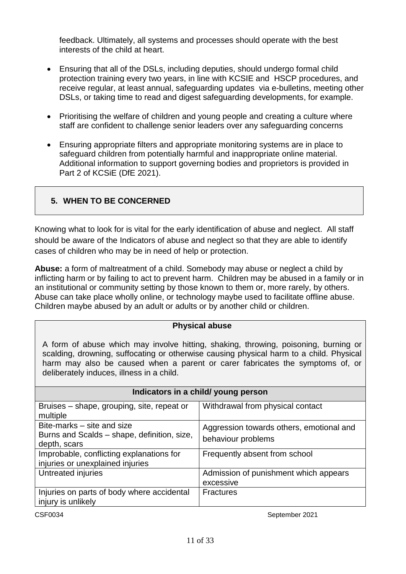feedback. Ultimately, all systems and processes should operate with the best interests of the child at heart.

- Ensuring that all of the DSLs, including deputies, should undergo formal child protection training every two years, in line with KCSIE and HSCP procedures, and receive regular, at least annual, safeguarding updates via e-bulletins, meeting other DSLs, or taking time to read and digest safeguarding developments, for example.
- Prioritising the welfare of children and young people and creating a culture where staff are confident to challenge senior leaders over any safeguarding concerns
- Ensuring appropriate filters and appropriate monitoring systems are in place to safeguard children from potentially harmful and inappropriate online material. Additional information to support governing bodies and proprietors is provided in Part 2 of KCSiE (DfE 2021).

# **5. WHEN TO BE CONCERNED**

Knowing what to look for is vital for the early identification of abuse and neglect. All staff should be aware of the Indicators of abuse and neglect so that they are able to identify cases of children who may be in need of help or protection.

**Abuse:** a form of maltreatment of a child. Somebody may abuse or neglect a child by inflicting harm or by failing to act to prevent harm. Children may be abused in a family or in an institutional or community setting by those known to them or, more rarely, by others. Abuse can take place wholly online, or technology maybe used to facilitate offline abuse. Children maybe abused by an adult or adults or by another child or children.

## **Physical abuse**

A form of abuse which may involve hitting, shaking, throwing, poisoning, burning or scalding, drowning, suffocating or otherwise causing physical harm to a child. Physical harm may also be caused when a parent or carer fabricates the symptoms of, or deliberately induces, illness in a child.

| Indicators in a child/ young person                                                       |                                                                |
|-------------------------------------------------------------------------------------------|----------------------------------------------------------------|
| Bruises – shape, grouping, site, repeat or<br>multiple                                    | Withdrawal from physical contact                               |
| Bite-marks – site and size<br>Burns and Scalds - shape, definition, size,<br>depth, scars | Aggression towards others, emotional and<br>behaviour problems |
| Improbable, conflicting explanations for<br>injuries or unexplained injuries              | Frequently absent from school                                  |
| Untreated injuries                                                                        | Admission of punishment which appears<br>excessive             |
| Injuries on parts of body where accidental<br>injury is unlikely                          | <b>Fractures</b>                                               |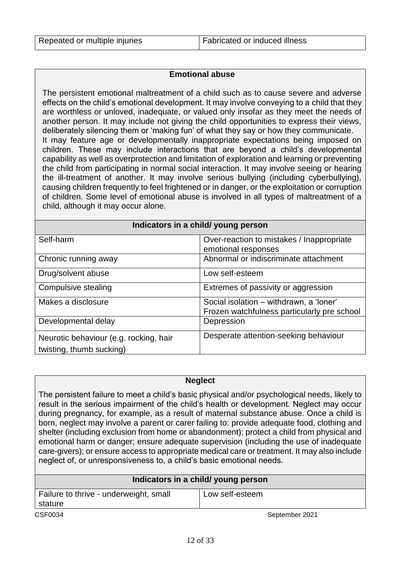#### **Emotional abuse**

The persistent emotional maltreatment of a child such as to cause severe and adverse effects on the child's emotional development. It may involve conveying to a child that they are worthless or unloved, inadequate, or valued only insofar as they meet the needs of another person. It may include not giving the child opportunities to express their views, deliberately silencing them or 'making fun' of what they say or how they communicate. It may feature age or developmentally inappropriate expectations being imposed on children. These may include interactions that are beyond a child's developmental capability as well as overprotection and limitation of exploration and learning or preventing the child from participating in normal social interaction. It may involve seeing or hearing the ill-treatment of another. It may involve serious bullying (including cyberbullying), causing children frequently to feel frightened or in danger, or the exploitation or corruption of children. Some level of emotional abuse is involved in all types of maltreatment of a child, although it may occur alone.

| Indicators in a child/ young person                                |                                                                                        |
|--------------------------------------------------------------------|----------------------------------------------------------------------------------------|
| Self-harm                                                          | Over-reaction to mistakes / Inappropriate<br>emotional responses                       |
| Chronic running away                                               | Abnormal or indiscriminate attachment                                                  |
| Drug/solvent abuse                                                 | Low self-esteem                                                                        |
| Compulsive stealing                                                | Extremes of passivity or aggression                                                    |
| Makes a disclosure                                                 | Social isolation - withdrawn, a 'loner'<br>Frozen watchfulness particularly pre school |
| Developmental delay                                                | Depression                                                                             |
| Neurotic behaviour (e.g. rocking, hair<br>twisting, thumb sucking) | Desperate attention-seeking behaviour                                                  |

#### **Neglect**

The persistent failure to meet a child's basic physical and/or psychological needs, likely to result in the serious impairment of the child's health or development. Neglect may occur during pregnancy, for example, as a result of maternal substance abuse. Once a child is born, neglect may involve a parent or carer failing to: provide adequate food, clothing and shelter (including exclusion from home or abandonment); protect a child from physical and emotional harm or danger; ensure adequate supervision (including the use of inadequate care-givers); or ensure access to appropriate medical care or treatment. It may also include neglect of, or unresponsiveness to, a child's basic emotional needs.

| Indicators in a child/ young person               |                 |
|---------------------------------------------------|-----------------|
| Failure to thrive - underweight, small<br>stature | Low self-esteem |
| CSF0034                                           | September 2021  |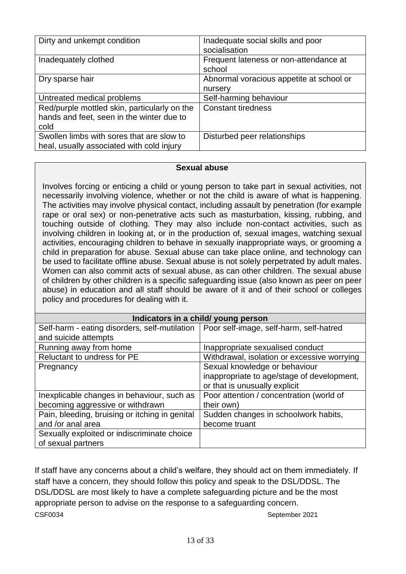| Dirty and unkempt condition                                                                       | Inadequate social skills and poor<br>socialisation  |
|---------------------------------------------------------------------------------------------------|-----------------------------------------------------|
| Inadequately clothed                                                                              | Frequent lateness or non-attendance at<br>school    |
| Dry sparse hair                                                                                   | Abnormal voracious appetite at school or<br>nursery |
| Untreated medical problems                                                                        | Self-harming behaviour                              |
| Red/purple mottled skin, particularly on the<br>hands and feet, seen in the winter due to<br>cold | <b>Constant tiredness</b>                           |
| Swollen limbs with sores that are slow to<br>heal, usually associated with cold injury            | Disturbed peer relationships                        |

### **Sexual abuse**

Involves forcing or enticing a child or young person to take part in sexual activities, not necessarily involving violence, whether or not the child is aware of what is happening. The activities may involve physical contact, including assault by penetration (for example rape or oral sex) or non-penetrative acts such as masturbation, kissing, rubbing, and touching outside of clothing. They may also include non-contact activities, such as involving children in looking at, or in the production of, sexual images, watching sexual activities, encouraging children to behave in sexually inappropriate ways, or grooming a child in preparation for abuse. Sexual abuse can take place online, and technology can be used to facilitate offline abuse. Sexual abuse is not solely perpetrated by adult males. Women can also commit acts of sexual abuse, as can other children. The sexual abuse of children by other children is a specific safeguarding issue (also known as peer on peer abuse) in education and all staff should be aware of it and of their school or colleges policy and procedures for dealing with it.

| Indicators in a child/ young person            |                                             |
|------------------------------------------------|---------------------------------------------|
| Self-harm - eating disorders, self-mutilation  | Poor self-image, self-harm, self-hatred     |
| and suicide attempts                           |                                             |
| Running away from home                         | Inappropriate sexualised conduct            |
| Reluctant to undress for PE                    | Withdrawal, isolation or excessive worrying |
| Pregnancy                                      | Sexual knowledge or behaviour               |
|                                                | inappropriate to age/stage of development,  |
|                                                | or that is unusually explicit               |
| Inexplicable changes in behaviour, such as     | Poor attention / concentration (world of    |
| becoming aggressive or withdrawn               | their own)                                  |
| Pain, bleeding, bruising or itching in genital | Sudden changes in schoolwork habits,        |
| and /or anal area                              | become truant                               |
| Sexually exploited or indiscriminate choice    |                                             |
| of sexual partners                             |                                             |

CSF0034 September 2021 If staff have any concerns about a child's welfare, they should act on them immediately. If staff have a concern, they should follow this policy and speak to the DSL/DDSL. The DSL/DDSL are most likely to have a complete safeguarding picture and be the most appropriate person to advise on the response to a safeguarding concern.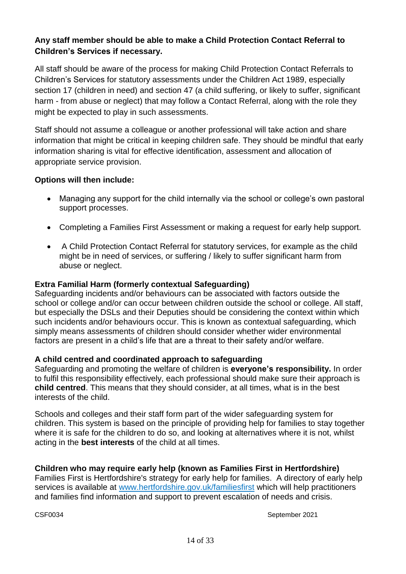# **Any staff member should be able to make a Child Protection Contact Referral to Children's Services if necessary.**

All staff should be aware of the process for making Child Protection Contact Referrals to Children's Services for statutory assessments under the Children Act 1989, especially section 17 (children in need) and section 47 (a child suffering, or likely to suffer, significant harm - from abuse or neglect) that may follow a Contact Referral, along with the role they might be expected to play in such assessments.

Staff should not assume a colleague or another professional will take action and share information that might be critical in keeping children safe. They should be mindful that early information sharing is vital for effective identification, assessment and allocation of appropriate service provision.

### **Options will then include:**

- Managing any support for the child internally via the school or college's own pastoral support processes.
- Completing a Families First Assessment or making a request for early help support.
- A Child Protection Contact Referral for statutory services, for example as the child might be in need of services, or suffering / likely to suffer significant harm from abuse or neglect.

### **Extra Familial Harm (formerly contextual Safeguarding)**

Safeguarding incidents and/or behaviours can be associated with factors outside the school or college and/or can occur between children outside the school or college. All staff, but especially the DSLs and their Deputies should be considering the context within which such incidents and/or behaviours occur. This is known as contextual safeguarding, which simply means assessments of children should consider whether wider environmental factors are present in a child's life that are a threat to their safety and/or welfare.

### **A child centred and coordinated approach to safeguarding**

Safeguarding and promoting the welfare of children is **everyone's responsibility.** In order to fulfil this responsibility effectively, each professional should make sure their approach is **child centred**. This means that they should consider, at all times, what is in the best interests of the child.

Schools and colleges and their staff form part of the wider safeguarding system for children. This system is based on the principle of providing help for families to stay together where it is safe for the children to do so, and looking at alternatives where it is not, whilst acting in the **best interests** of the child at all times.

## **Children who may require early help (known as Families First in Hertfordshire)**

Families First is Hertfordshire's strategy for early help for families. A directory of early help services is available at [www.hertfordshire.gov.uk/familiesfirst](http://www.hertfordshire.gov.uk/familiesfirst) which will help practitioners and families find information and support to prevent escalation of needs and crisis.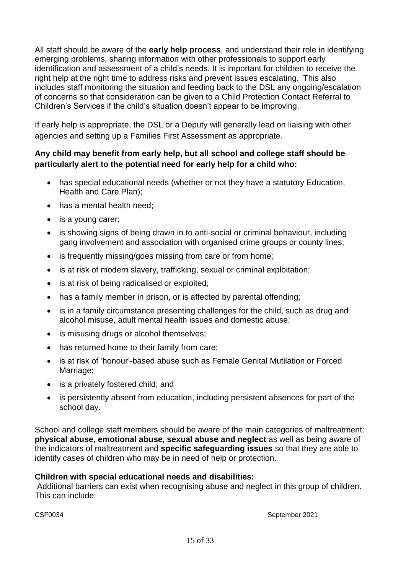All staff should be aware of the **early help process**, and understand their role in identifying emerging problems, sharing information with other professionals to support early identification and assessment of a child's needs. It is important for children to receive the right help at the right time to address risks and prevent issues escalating. This also includes staff monitoring the situation and feeding back to the DSL any ongoing/escalation of concerns so that consideration can be given to a Child Protection Contact Referral to Children's Services if the child's situation doesn't appear to be improving.

If early help is appropriate, the DSL or a Deputy will generally lead on liaising with other agencies and setting up a Families First Assessment as appropriate.

# **Any child may benefit from early help, but all school and college staff should be particularly alert to the potential need for early help for a child who:**

- has special educational needs (whether or not they have a statutory Education, Health and Care Plan);
- has a mental health need;
- is a young carer;
- is showing signs of being drawn in to anti-social or criminal behaviour, including gang involvement and association with organised crime groups or county lines;
- is frequently missing/goes missing from care or from home;
- is at risk of modern slavery, trafficking, sexual or criminal exploitation;
- is at risk of being radicalised or exploited;
- has a family member in prison, or is affected by parental offending;
- is in a family circumstance presenting challenges for the child, such as drug and alcohol misuse, adult mental health issues and domestic abuse;
- is misusing drugs or alcohol themselves;
- has returned home to their family from care;
- is at risk of 'honour'-based abuse such as Female Genital Mutilation or Forced Marriage;
- is a privately fostered child; and
- is persistently absent from education, including persistent absences for part of the school day.

School and college staff members should be aware of the main categories of maltreatment: **physical abuse, emotional abuse, sexual abuse and neglect** as well as being aware of the indicators of maltreatment and **specific safeguarding issues** so that they are able to identify cases of children who may be in need of help or protection.

## **Children with special educational needs and disabilities:**

Additional barriers can exist when recognising abuse and neglect in this group of children. This can include: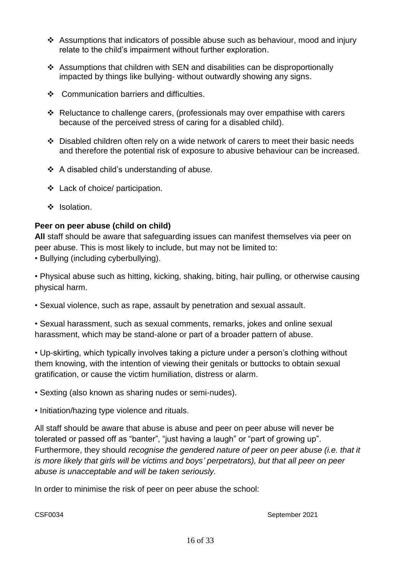- ❖ Assumptions that indicators of possible abuse such as behaviour, mood and injury relate to the child's impairment without further exploration.
- ❖ Assumptions that children with SEN and disabilities can be disproportionally impacted by things like bullying- without outwardly showing any signs.
- ❖ Communication barriers and difficulties.
- ❖ Reluctance to challenge carers, (professionals may over empathise with carers because of the perceived stress of caring for a disabled child).
- ❖ Disabled children often rely on a wide network of carers to meet their basic needs and therefore the potential risk of exposure to abusive behaviour can be increased.
- ❖ A disabled child's understanding of abuse.
- ❖ Lack of choice/ participation.
- ❖ Isolation.

# **Peer on peer abuse (child on child)**

**All** staff should be aware that safeguarding issues can manifest themselves via peer on peer abuse. This is most likely to include, but may not be limited to: • Bullying (including cyberbullying).

• Physical abuse such as hitting, kicking, shaking, biting, hair pulling, or otherwise causing physical harm.

• Sexual violence, such as rape, assault by penetration and sexual assault.

• Sexual harassment, such as sexual comments, remarks, jokes and online sexual harassment, which may be stand-alone or part of a broader pattern of abuse.

• Up-skirting, which typically involves taking a picture under a person's clothing without them knowing, with the intention of viewing their genitals or buttocks to obtain sexual gratification, or cause the victim humiliation, distress or alarm.

• Sexting (also known as sharing nudes or semi-nudes).

• Initiation/hazing type violence and rituals.

All staff should be aware that abuse is abuse and peer on peer abuse will never be tolerated or passed off as "banter", "just having a laugh" or "part of growing up". Furthermore, they should *recognise the gendered nature of peer on peer abuse (i.e. that it is more likely that girls will be victims and boys' perpetrators), but that all peer on peer abuse is unacceptable and will be taken seriously.*

In order to minimise the risk of peer on peer abuse the school: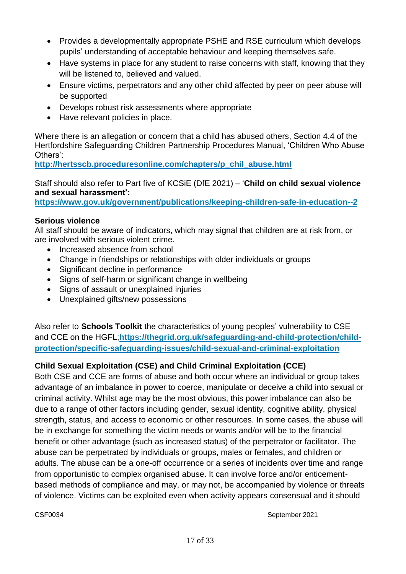- Provides a developmentally appropriate PSHE and RSE curriculum which develops pupils' understanding of acceptable behaviour and keeping themselves safe.
- Have systems in place for any student to raise concerns with staff, knowing that they will be listened to, believed and valued.
- Ensure victims, perpetrators and any other child affected by peer on peer abuse will be supported
- Develops robust risk assessments where appropriate
- Have relevant policies in place.

Where there is an allegation or concern that a child has abused others, Section 4.4 of the Hertfordshire Safeguarding Children Partnership Procedures Manual, 'Children Who Abuse Others':

**[http://hertsscb.proceduresonline.com/chapters/p\\_chil\\_abuse.html](http://hertsscb.proceduresonline.com/chapters/p_chil_abuse.html)**

Staff should also refer to Part five of KCSiE (DfE 2021) – '**Child on child sexual violence and sexual harassment':**

**<https://www.gov.uk/government/publications/keeping-children-safe-in-education--2>**

## **Serious violence**

All staff should be aware of indicators, which may signal that children are at risk from, or are involved with serious violent crime.

- Increased absence from school
- Change in friendships or relationships with older individuals or groups
- Significant decline in performance
- Signs of self-harm or significant change in wellbeing
- Signs of assault or unexplained injuries
- Unexplained gifts/new possessions

Also refer to **Schools Toolkit** the characteristics of young peoples' vulnerability to CSE and CCE on the HGFL;**[https://thegrid.org.uk/safeguarding-and-child-protection/child](https://thegrid.org.uk/safeguarding-and-child-protection/child-protection/specific-safeguarding-issues/child-sexual-and-criminal-exploitation)[protection/specific-safeguarding-issues/child-sexual-and-criminal-exploitation](https://thegrid.org.uk/safeguarding-and-child-protection/child-protection/specific-safeguarding-issues/child-sexual-and-criminal-exploitation)**

# **Child Sexual Exploitation (CSE) and Child Criminal Exploitation (CCE)**

Both CSE and CCE are forms of abuse and both occur where an individual or group takes advantage of an imbalance in power to coerce, manipulate or deceive a child into sexual or criminal activity. Whilst age may be the most obvious, this power imbalance can also be due to a range of other factors including gender, sexual identity, cognitive ability, physical strength, status, and access to economic or other resources. In some cases, the abuse will be in exchange for something the victim needs or wants and/or will be to the financial benefit or other advantage (such as increased status) of the perpetrator or facilitator. The abuse can be perpetrated by individuals or groups, males or females, and children or adults. The abuse can be a one-off occurrence or a series of incidents over time and range from opportunistic to complex organised abuse. It can involve force and/or enticementbased methods of compliance and may, or may not, be accompanied by violence or threats of violence. Victims can be exploited even when activity appears consensual and it should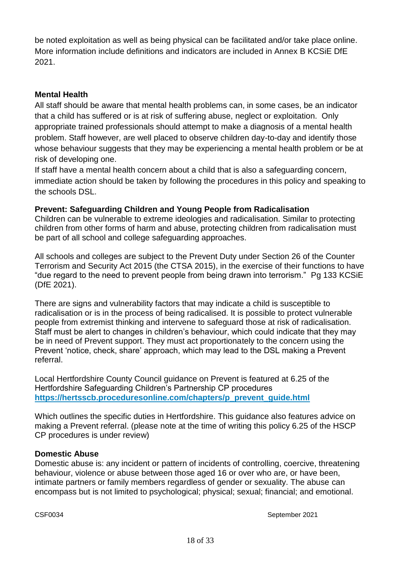be noted exploitation as well as being physical can be facilitated and/or take place online. More information include definitions and indicators are included in Annex B KCSiE DfE 2021.

## **Mental Health**

All staff should be aware that mental health problems can, in some cases, be an indicator that a child has suffered or is at risk of suffering abuse, neglect or exploitation. Only appropriate trained professionals should attempt to make a diagnosis of a mental health problem. Staff however, are well placed to observe children day-to-day and identify those whose behaviour suggests that they may be experiencing a mental health problem or be at risk of developing one.

If staff have a mental health concern about a child that is also a safeguarding concern, immediate action should be taken by following the procedures in this policy and speaking to the schools DSL.

## **Prevent: Safeguarding Children and Young People from Radicalisation**

Children can be vulnerable to extreme ideologies and radicalisation. Similar to protecting children from other forms of harm and abuse, protecting children from radicalisation must be part of all school and college safeguarding approaches.

All schools and colleges are subject to the Prevent Duty under Section 26 of the Counter Terrorism and Security Act 2015 (the CTSA 2015), in the exercise of their functions to have "due regard to the need to prevent people from being drawn into terrorism." Pg 133 KCSiE (DfE 2021).

There are signs and vulnerability factors that may indicate a child is susceptible to radicalisation or is in the process of being radicalised. It is possible to protect vulnerable people from extremist thinking and intervene to safeguard those at risk of radicalisation. Staff must be alert to changes in children's behaviour, which could indicate that they may be in need of Prevent support. They must act proportionately to the concern using the Prevent 'notice, check, share' approach, which may lead to the DSL making a Prevent referral.

Local Hertfordshire County Council guidance on Prevent is featured at 6.25 of the Hertfordshire Safeguarding Children's Partnership CP procedures **[https://hertsscb.proceduresonline.com/chapters/p\\_prevent\\_guide.html](https://hertsscb.proceduresonline.com/chapters/p_prevent_guide.html)**

Which outlines the specific duties in Hertfordshire. This guidance also features advice on making a Prevent referral. (please note at the time of writing this policy 6.25 of the HSCP CP procedures is under review)

### **Domestic Abuse**

Domestic abuse is: any incident or pattern of incidents of controlling, coercive, threatening behaviour, violence or abuse between those aged 16 or over who are, or have been, intimate partners or family members regardless of gender or sexuality. The abuse can encompass but is not limited to psychological; physical; sexual; financial; and emotional.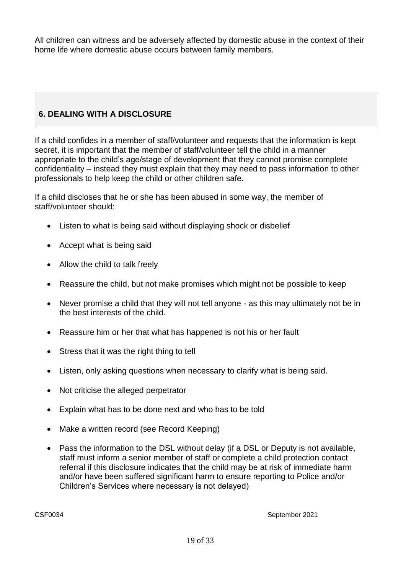All children can witness and be adversely affected by domestic abuse in the context of their home life where domestic abuse occurs between family members.

# **6. DEALING WITH A DISCLOSURE**

If a child confides in a member of staff/volunteer and requests that the information is kept secret, it is important that the member of staff/volunteer tell the child in a manner appropriate to the child's age/stage of development that they cannot promise complete confidentiality – instead they must explain that they may need to pass information to other professionals to help keep the child or other children safe.

If a child discloses that he or she has been abused in some way, the member of staff/volunteer should:

- Listen to what is being said without displaying shock or disbelief
- Accept what is being said
- Allow the child to talk freely
- Reassure the child, but not make promises which might not be possible to keep
- Never promise a child that they will not tell anyone as this may ultimately not be in the best interests of the child.
- Reassure him or her that what has happened is not his or her fault
- Stress that it was the right thing to tell
- Listen, only asking questions when necessary to clarify what is being said.
- Not criticise the alleged perpetrator
- Explain what has to be done next and who has to be told
- Make a written record (see Record Keeping)
- Pass the information to the DSL without delay (if a DSL or Deputy is not available, staff must inform a senior member of staff or complete a child protection contact referral if this disclosure indicates that the child may be at risk of immediate harm and/or have been suffered significant harm to ensure reporting to Police and/or Children's Services where necessary is not delayed)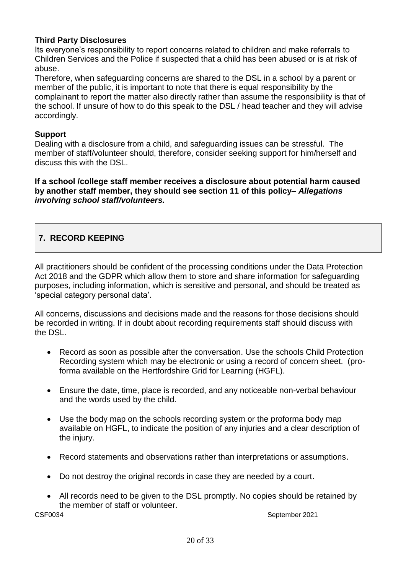## **Third Party Disclosures**

Its everyone's responsibility to report concerns related to children and make referrals to Children Services and the Police if suspected that a child has been abused or is at risk of abuse.

Therefore, when safeguarding concerns are shared to the DSL in a school by a parent or member of the public, it is important to note that there is equal responsibility by the complainant to report the matter also directly rather than assume the responsibility is that of the school. If unsure of how to do this speak to the DSL / head teacher and they will advise accordingly.

### **Support**

Dealing with a disclosure from a child, and safeguarding issues can be stressful. The member of staff/volunteer should, therefore, consider seeking support for him/herself and discuss this with the DSL.

**If a school /college staff member receives a disclosure about potential harm caused by another staff member, they should see section 11 of this policy–** *Allegations involving school staff/volunteers.* 

# **7. RECORD KEEPING**

All practitioners should be confident of the processing conditions under the Data Protection Act 2018 and the GDPR which allow them to store and share information for safeguarding purposes, including information, which is sensitive and personal, and should be treated as 'special category personal data'.

All concerns, discussions and decisions made and the reasons for those decisions should be recorded in writing. If in doubt about recording requirements staff should discuss with the DSL.

- Record as soon as possible after the conversation. Use the schools Child Protection Recording system which may be electronic or using a record of concern sheet. (proforma available on the Hertfordshire Grid for Learning (HGFL).
- Ensure the date, time, place is recorded, and any noticeable non-verbal behaviour and the words used by the child.
- Use the body map on the schools recording system or the proforma body map available on HGFL, to indicate the position of any injuries and a clear description of the injury.
- Record statements and observations rather than interpretations or assumptions.
- Do not destroy the original records in case they are needed by a court.
- All records need to be given to the DSL promptly. No copies should be retained by the member of staff or volunteer.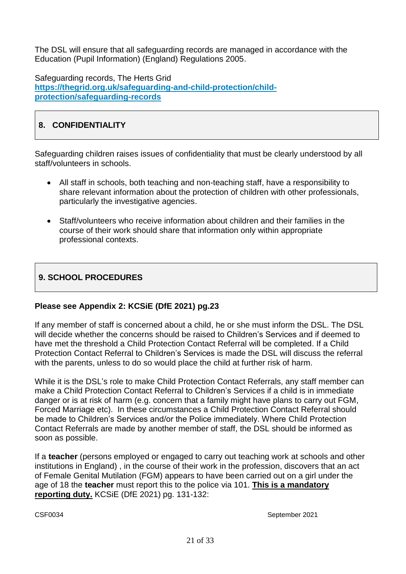The DSL will ensure that all safeguarding records are managed in accordance with the Education (Pupil Information) (England) Regulations 2005.

Safeguarding records, The Herts Grid **[https://thegrid.org.uk/safeguarding-and-child-protection/child](https://thegrid.org.uk/safeguarding-and-child-protection/child-protection/safeguarding-records)[protection/safeguarding-records](https://thegrid.org.uk/safeguarding-and-child-protection/child-protection/safeguarding-records)**

# **8. CONFIDENTIALITY**

Safeguarding children raises issues of confidentiality that must be clearly understood by all staff/volunteers in schools.

- All staff in schools, both teaching and non-teaching staff, have a responsibility to share relevant information about the protection of children with other professionals, particularly the investigative agencies.
- Staff/volunteers who receive information about children and their families in the course of their work should share that information only within appropriate professional contexts.

# **9. SCHOOL PROCEDURES**

## **Please see Appendix 2: KCSiE (DfE 2021) pg.23**

If any member of staff is concerned about a child, he or she must inform the DSL. The DSL will decide whether the concerns should be raised to Children's Services and if deemed to have met the threshold a Child Protection Contact Referral will be completed. If a Child Protection Contact Referral to Children's Services is made the DSL will discuss the referral with the parents, unless to do so would place the child at further risk of harm.

While it is the DSL's role to make Child Protection Contact Referrals, any staff member can make a Child Protection Contact Referral to Children's Services if a child is in immediate danger or is at risk of harm (e.g. concern that a family might have plans to carry out FGM, Forced Marriage etc). In these circumstances a Child Protection Contact Referral should be made to Children's Services and/or the Police immediately. Where Child Protection Contact Referrals are made by another member of staff, the DSL should be informed as soon as possible.

If a **teacher** (persons employed or engaged to carry out teaching work at schools and other institutions in England) , in the course of their work in the profession, discovers that an act of Female Genital Mutilation (FGM) appears to have been carried out on a girl under the age of 18 the **teacher** must report this to the police via 101. **This is a mandatory reporting duty.** KCSiE (DfE 2021) pg. 131-132: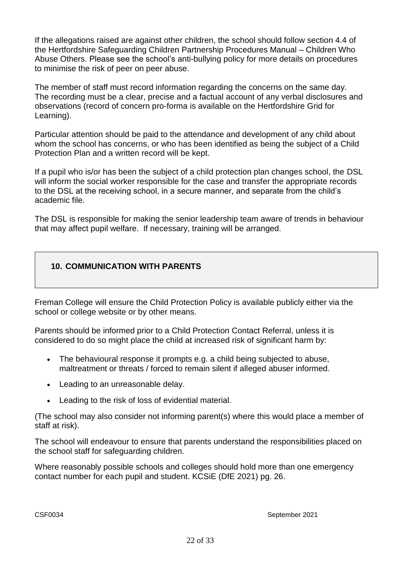If the allegations raised are against other children, the school should follow section 4.4 of the Hertfordshire Safeguarding Children Partnership Procedures Manual – Children Who Abuse Others. Please see the school's anti-bullying policy for more details on procedures to minimise the risk of peer on peer abuse.

The member of staff must record information regarding the concerns on the same day. The recording must be a clear, precise and a factual account of any verbal disclosures and observations (record of concern pro-forma is available on the Hertfordshire Grid for Learning).

Particular attention should be paid to the attendance and development of any child about whom the school has concerns, or who has been identified as being the subject of a Child Protection Plan and a written record will be kept.

If a pupil who is/or has been the subject of a child protection plan changes school, the DSL will inform the social worker responsible for the case and transfer the appropriate records to the DSL at the receiving school, in a secure manner, and separate from the child's academic file.

The DSL is responsible for making the senior leadership team aware of trends in behaviour that may affect pupil welfare. If necessary, training will be arranged.

# **10. COMMUNICATION WITH PARENTS**

Freman College will ensure the Child Protection Policy is available publicly either via the school or college website or by other means.

Parents should be informed prior to a Child Protection Contact Referral, unless it is considered to do so might place the child at increased risk of significant harm by:

- The behavioural response it prompts e.g. a child being subjected to abuse, maltreatment or threats / forced to remain silent if alleged abuser informed.
- Leading to an unreasonable delay.
- Leading to the risk of loss of evidential material.

(The school may also consider not informing parent(s) where this would place a member of staff at risk).

The school will endeavour to ensure that parents understand the responsibilities placed on the school staff for safeguarding children.

Where reasonably possible schools and colleges should hold more than one emergency contact number for each pupil and student. KCSiE (DfE 2021) pg. 26.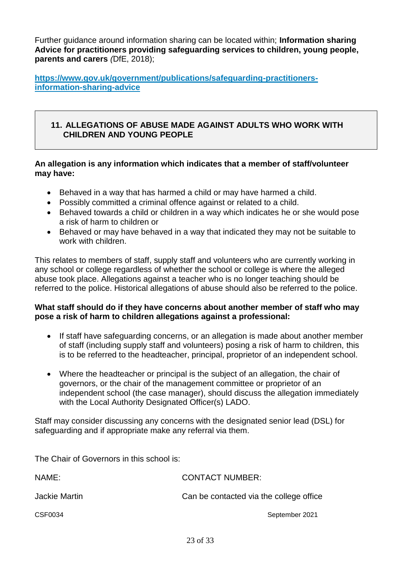Further guidance around information sharing can be located within; **Information sharing Advice for practitioners providing safeguarding services to children, young people, parents and carers** *(*DfE, 2018);

**[https://www.gov.uk/government/publications/safeguarding-practitioners](https://www.gov.uk/government/publications/safeguarding-practitioners-information-sharing-advice)[information-sharing-advice](https://www.gov.uk/government/publications/safeguarding-practitioners-information-sharing-advice)**

### **11. ALLEGATIONS OF ABUSE MADE AGAINST ADULTS WHO WORK WITH CHILDREN AND YOUNG PEOPLE**

### **An allegation is any information which indicates that a member of staff/volunteer may have:**

- Behaved in a way that has harmed a child or may have harmed a child.
- Possibly committed a criminal offence against or related to a child.
- Behaved towards a child or children in a way which indicates he or she would pose a risk of harm to children or
- Behaved or may have behaved in a way that indicated they may not be suitable to work with children.

This relates to members of staff, supply staff and volunteers who are currently working in any school or college regardless of whether the school or college is where the alleged abuse took place. Allegations against a teacher who is no longer teaching should be referred to the police. Historical allegations of abuse should also be referred to the police.

### **What staff should do if they have concerns about another member of staff who may pose a risk of harm to children allegations against a professional:**

- If staff have safeguarding concerns, or an allegation is made about another member of staff (including supply staff and volunteers) posing a risk of harm to children, this is to be referred to the headteacher, principal, proprietor of an independent school.
- Where the headteacher or principal is the subject of an allegation, the chair of governors, or the chair of the management committee or proprietor of an independent school (the case manager), should discuss the allegation immediately with the Local Authority Designated Officer(s) LADO.

Staff may consider discussing any concerns with the designated senior lead (DSL) for safeguarding and if appropriate make any referral via them.

The Chair of Governors in this school is:

| NAME:         | <b>CONTACT NUMBER:</b>                  |
|---------------|-----------------------------------------|
| Jackie Martin | Can be contacted via the college office |
| CSF0034       | September 2021                          |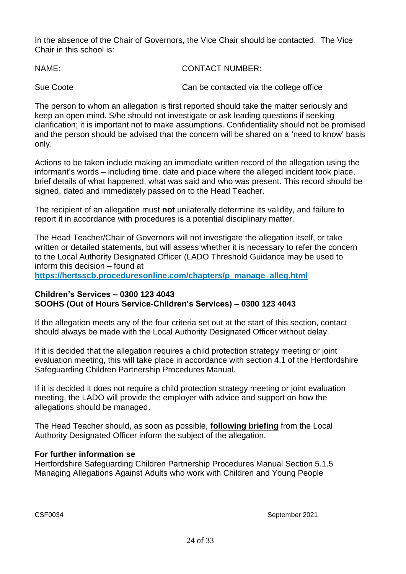In the absence of the Chair of Governors, the Vice Chair should be contacted. The Vice Chair in this school is:

| NAME:     | <b>CONTACT NUMBER:</b>                  |
|-----------|-----------------------------------------|
| Sue Coote | Can be contacted via the college office |

The person to whom an allegation is first reported should take the matter seriously and keep an open mind. S/he should not investigate or ask leading questions if seeking clarification; it is important not to make assumptions. Confidentiality should not be promised and the person should be advised that the concern will be shared on a 'need to know' basis only.

Actions to be taken include making an immediate written record of the allegation using the informant's words – including time, date and place where the alleged incident took place, brief details of what happened, what was said and who was present. This record should be signed, dated and immediately passed on to the Head Teacher.

The recipient of an allegation must **not** unilaterally determine its validity, and failure to report it in accordance with procedures is a potential disciplinary matter.

The Head Teacher/Chair of Governors will not investigate the allegation itself, or take written or detailed statements, but will assess whether it is necessary to refer the concern to the Local Authority Designated Officer (LADO Threshold Guidance may be used to inform this decision – found at **[https://hertsscb.proceduresonline.com/chapters/p\\_manage\\_alleg.html](https://hertsscb.proceduresonline.com/chapters/p_manage_alleg.html)**

### **Children's Services – 0300 123 4043 SOOHS (Out of Hours Service-Children's Services) – 0300 123 4043**

If the allegation meets any of the four criteria set out at the start of this section, contact should always be made with the Local Authority Designated Officer without delay.

If it is decided that the allegation requires a child protection strategy meeting or joint evaluation meeting, this will take place in accordance with section 4.1 of the Hertfordshire Safeguarding Children Partnership Procedures Manual.

If it is decided it does not require a child protection strategy meeting or joint evaluation meeting, the LADO will provide the employer with advice and support on how the allegations should be managed.

The Head Teacher should, as soon as possible, **following briefing** from the Local Authority Designated Officer inform the subject of the allegation.

### **For further information se**

Hertfordshire Safeguarding Children Partnership Procedures Manual Section 5.1.5 [Managing Allegations Against Adults who work with Children and Young People](http://www.proceduresonline.com/herts_scb/chapters/p_manage_alleg.html)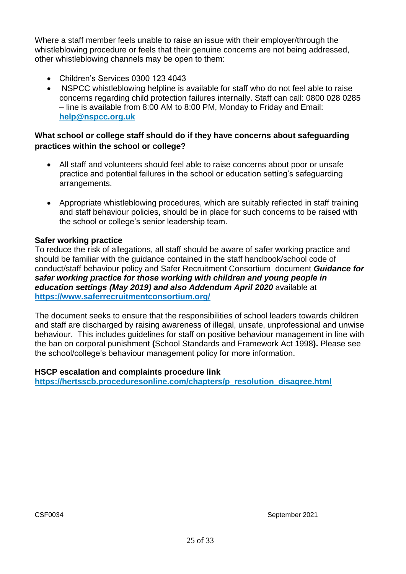Where a staff member feels unable to raise an issue with their employer/through the whistleblowing procedure or feels that their genuine concerns are not being addressed, other whistleblowing channels may be open to them:

- Children's Services 0300 123 4043
- NSPCC whistleblowing helpline is available for staff who do not feel able to raise concerns regarding child protection failures internally. Staff can call: 0800 028 0285 – line is available from 8:00 AM to 8:00 PM, Monday to Friday and Email: **[help@nspcc.org.uk](mailto:help@nspcc.org.uk)**

## **What school or college staff should do if they have concerns about safeguarding practices within the school or college?**

- All staff and volunteers should feel able to raise concerns about poor or unsafe practice and potential failures in the school or education setting's safeguarding arrangements.
- Appropriate whistleblowing procedures, which are suitably reflected in staff training and staff behaviour policies, should be in place for such concerns to be raised with the school or college's senior leadership team.

### **Safer working practice**

To reduce the risk of allegations, all staff should be aware of safer working practice and should be familiar with the guidance contained in the staff handbook/school code of conduct/staff behaviour policy and Safer Recruitment Consortium document *Guidance for safer working practice for those working with children and young people in education settings (May 2019) and also Addendum April 2020* available at **<https://www.saferrecruitmentconsortium.org/>**

The document seeks to ensure that the responsibilities of school leaders towards children and staff are discharged by raising awareness of illegal, unsafe, unprofessional and unwise behaviour. This includes guidelines for staff on positive behaviour management in line with the ban on corporal punishment **(**School Standards and Framework Act 1998**).** Please see the school/college's behaviour management policy for more information.

### **HSCP escalation and complaints procedure link**

**[https://hertsscb.proceduresonline.com/chapters/p\\_resolution\\_disagree.html](https://hertsscb.proceduresonline.com/chapters/p_resolution_disagree.html)**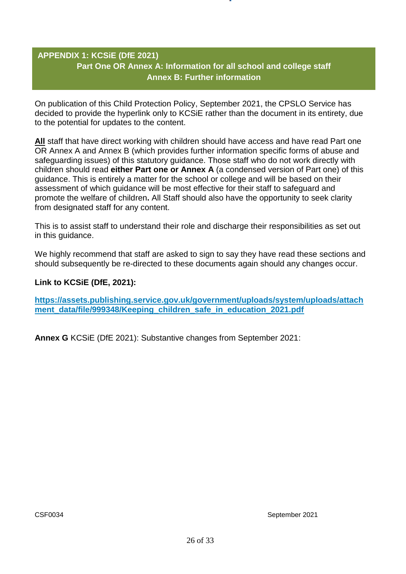## **APPENDIX 1: KCSiE (DfE 2021) Part One OR Annex A: Information for all school and college staff Annex B: Further information**

On publication of this Child Protection Policy, September 2021, the CPSLO Service has decided to provide the hyperlink only to KCSiE rather than the document in its entirety, due to the potential for updates to the content.

**All** staff that have direct working with children should have access and have read Part one OR Annex A and Annex B (which provides further information specific forms of abuse and safeguarding issues) of this statutory guidance. Those staff who do not work directly with children should read **either Part one or Annex A** (a condensed version of Part one) of this guidance. This is entirely a matter for the school or college and will be based on their assessment of which guidance will be most effective for their staff to safeguard and promote the welfare of children**.** All Staff should also have the opportunity to seek clarity from designated staff for any content.

This is to assist staff to understand their role and discharge their responsibilities as set out in this guidance.

We highly recommend that staff are asked to sign to say they have read these sections and should subsequently be re-directed to these documents again should any changes occur.

### **Link to KCSiE (DfE, 2021):**

**[https://assets.publishing.service.gov.uk/government/uploads/system/uploads/attach](https://assets.publishing.service.gov.uk/government/uploads/system/uploads/attachment_data/file/999348/Keeping_children_safe_in_education_2021.pdf)** ment data/file/999348/Keeping children safe in education 2021.pdf

**Annex G** KCSiE (DfE 2021): Substantive changes from September 2021: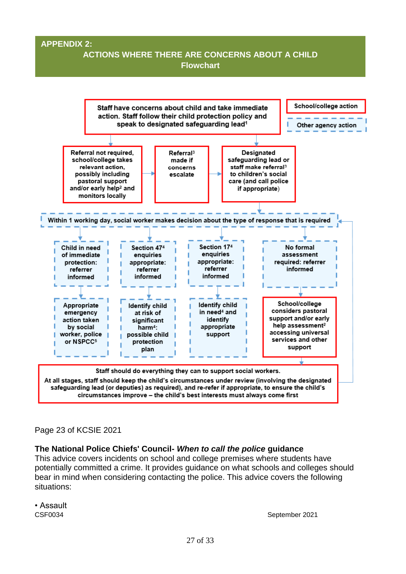### **APPENDIX 2:**

# **ACTIONS WHERE THERE ARE CONCERNS ABOUT A CHILD Flowchart**



### Page 23 of KCSIE 2021

### **The National Police Chiefs' Council-** *When to call the police* **guidance**

This advice covers incidents on school and college premises where students have potentially committed a crime. It provides guidance on what schools and colleges should bear in mind when considering contacting the police. This advice covers the following situations:

• Assault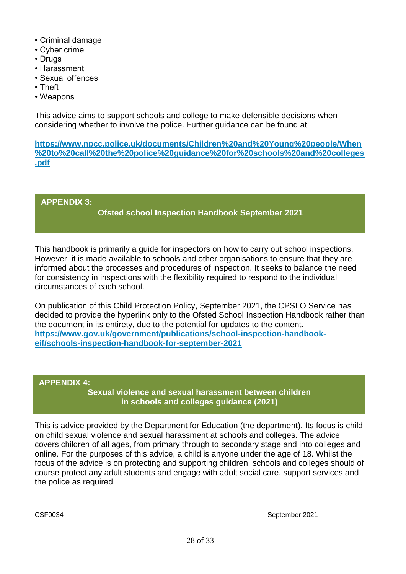- Criminal damage
- Cyber crime
- Drugs
- Harassment
- Sexual offences
- Theft
- Weapons

This advice aims to support schools and college to make defensible decisions when considering whether to involve the police. Further guidance can be found at;

**[https://www.npcc.police.uk/documents/Children%20and%20Young%20people/When](https://www.npcc.police.uk/documents/Children%20and%20Young%20people/When%20to%20call%20the%20police%20guidance%20for%20schools%20and%20colleges.pdf) [%20to%20call%20the%20police%20guidance%20for%20schools%20and%20colleges](https://www.npcc.police.uk/documents/Children%20and%20Young%20people/When%20to%20call%20the%20police%20guidance%20for%20schools%20and%20colleges.pdf) [.pdf](https://www.npcc.police.uk/documents/Children%20and%20Young%20people/When%20to%20call%20the%20police%20guidance%20for%20schools%20and%20colleges.pdf)**

**APPENDIX 3:** 

# **Ofsted school Inspection Handbook September 2021**

This handbook is primarily a guide for inspectors on how to carry out school inspections. However, it is made available to schools and other organisations to ensure that they are informed about the processes and procedures of inspection. It seeks to balance the need for consistency in inspections with the flexibility required to respond to the individual circumstances of each school.

On publication of this Child Protection Policy, September 2021, the CPSLO Service has decided to provide the hyperlink only to the Ofsted School Inspection Handbook rather than the document in its entirety, due to the potential for updates to the content. **[https://www.gov.uk/government/publications/school-inspection-handbook](https://www.gov.uk/government/publications/school-inspection-handbook-eif/schools-inspection-handbook-for-september-2021)[eif/schools-inspection-handbook-for-september-2021](https://www.gov.uk/government/publications/school-inspection-handbook-eif/schools-inspection-handbook-for-september-2021)**

### **APPENDIX 4:**

**Sexual violence and sexual harassment between children in schools and colleges guidance (2021)**

This is advice provided by the Department for Education (the department). Its focus is child on child sexual violence and sexual harassment at schools and colleges. The advice covers children of all ages, from primary through to secondary stage and into colleges and online. For the purposes of this advice, a child is anyone under the age of 18. Whilst the focus of the advice is on protecting and supporting children, schools and colleges should of course protect any adult students and engage with adult social care, support services and the police as required.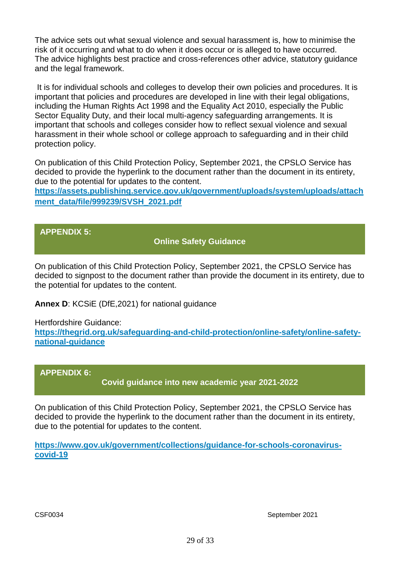The advice sets out what sexual violence and sexual harassment is, how to minimise the risk of it occurring and what to do when it does occur or is alleged to have occurred. The advice highlights best practice and cross-references other advice, statutory guidance and the legal framework.

It is for individual schools and colleges to develop their own policies and procedures. It is important that policies and procedures are developed in line with their legal obligations, including the Human Rights Act 1998 and the Equality Act 2010, especially the Public Sector Equality Duty, and their local multi-agency safeguarding arrangements. It is important that schools and colleges consider how to reflect sexual violence and sexual harassment in their whole school or college approach to safeguarding and in their child protection policy.

On publication of this Child Protection Policy, September 2021, the CPSLO Service has decided to provide the hyperlink to the document rather than the document in its entirety, due to the potential for updates to the content.

**[https://assets.publishing.service.gov.uk/government/uploads/system/uploads/attach](https://assets.publishing.service.gov.uk/government/uploads/system/uploads/attachment_data/file/999239/SVSH_2021.pdf) [ment\\_data/file/999239/SVSH\\_2021.pdf](https://assets.publishing.service.gov.uk/government/uploads/system/uploads/attachment_data/file/999239/SVSH_2021.pdf)**

## **APPENDIX 5:**

## **Online Safety Guidance**

On publication of this Child Protection Policy, September 2021, the CPSLO Service has decided to signpost to the document rather than provide the document in its entirety, due to the potential for updates to the content.

**Annex D**: KCSiE (DfE,2021) for national guidance

Hertfordshire Guidance:

**[https://thegrid.org.uk/safeguarding-and-child-protection/online-safety/online-safety](https://thegrid.org.uk/safeguarding-and-child-protection/online-safety/online-safety-national-guidance)[national-guidance](https://thegrid.org.uk/safeguarding-and-child-protection/online-safety/online-safety-national-guidance)**

## **APPENDIX 6:**

**Covid guidance into new academic year 2021-2022**

On publication of this Child Protection Policy, September 2021, the CPSLO Service has decided to provide the hyperlink to the document rather than the document in its entirety, due to the potential for updates to the content.

**[https://www.gov.uk/government/collections/guidance-for-schools-coronavirus](https://www.gov.uk/government/collections/guidance-for-schools-coronavirus-covid-19)[covid-19](https://www.gov.uk/government/collections/guidance-for-schools-coronavirus-covid-19)**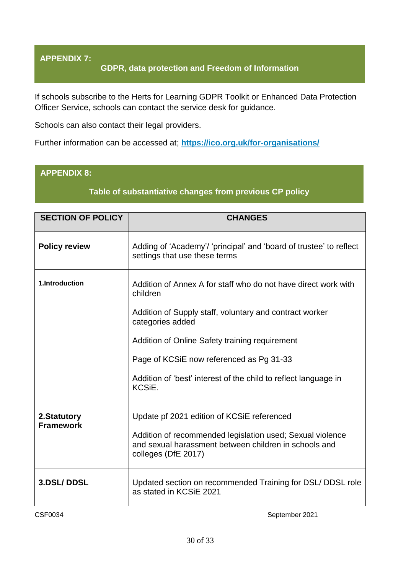# **APPENDIX 7:**

### **GDPR, data protection and Freedom of Information**

If schools subscribe to the Herts for Learning GDPR Toolkit or Enhanced Data Protection Officer Service, schools can contact the service desk for guidance.

Schools can also contact their legal providers.

Further information can be accessed at; **<https://ico.org.uk/for-organisations/>**

### **APPENDIX 8:**

### **Table of substantiative changes from previous CP policy**

| <b>SECTION OF POLICY</b>        | <b>CHANGES</b>                                                                                                                                                                                                                                                                                                                       |
|---------------------------------|--------------------------------------------------------------------------------------------------------------------------------------------------------------------------------------------------------------------------------------------------------------------------------------------------------------------------------------|
| <b>Policy review</b>            | Adding of 'Academy'/ 'principal' and 'board of trustee' to reflect<br>settings that use these terms                                                                                                                                                                                                                                  |
| 1.Introduction                  | Addition of Annex A for staff who do not have direct work with<br>children<br>Addition of Supply staff, voluntary and contract worker<br>categories added<br>Addition of Online Safety training requirement<br>Page of KCSiE now referenced as Pg 31-33<br>Addition of 'best' interest of the child to reflect language in<br>KCSiE. |
| 2.Statutory<br><b>Framework</b> | Update pf 2021 edition of KCSiE referenced<br>Addition of recommended legislation used; Sexual violence<br>and sexual harassment between children in schools and<br>colleges (DfE 2017)                                                                                                                                              |
| <b>3.DSL/DDSL</b>               | Updated section on recommended Training for DSL/DDSL role<br>as stated in KCSiE 2021                                                                                                                                                                                                                                                 |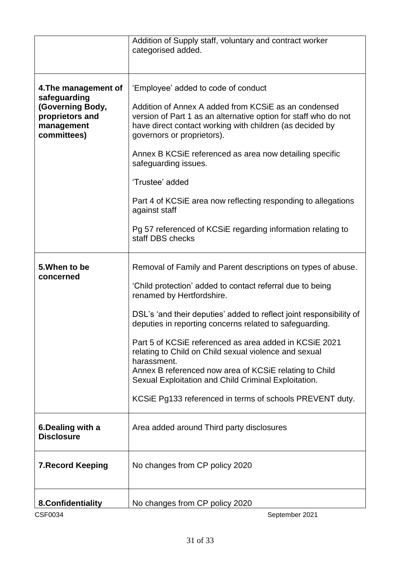| <b>CSF0034</b>                                                                   | September 2021                                                                                                                                                                                                    |
|----------------------------------------------------------------------------------|-------------------------------------------------------------------------------------------------------------------------------------------------------------------------------------------------------------------|
| 8. Confidentiality                                                               | No changes from CP policy 2020                                                                                                                                                                                    |
| <b>7. Record Keeping</b>                                                         | No changes from CP policy 2020                                                                                                                                                                                    |
| 6. Dealing with a<br><b>Disclosure</b>                                           | Area added around Third party disclosures                                                                                                                                                                         |
|                                                                                  | Sexual Exploitation and Child Criminal Exploitation.<br>KCSIE Pg133 referenced in terms of schools PREVENT duty.                                                                                                  |
|                                                                                  | Part 5 of KCSiE referenced as area added in KCSiE 2021<br>relating to Child on Child sexual violence and sexual<br>harassment.<br>Annex B referenced now area of KCSIE relating to Child                          |
|                                                                                  | DSL's 'and their deputies' added to reflect joint responsibility of<br>deputies in reporting concerns related to safeguarding.                                                                                    |
| concerned                                                                        | 'Child protection' added to contact referral due to being<br>renamed by Hertfordshire.                                                                                                                            |
| 5. When to be                                                                    | Removal of Family and Parent descriptions on types of abuse.                                                                                                                                                      |
|                                                                                  | Pg 57 referenced of KCSiE regarding information relating to<br>staff DBS checks                                                                                                                                   |
|                                                                                  | Part 4 of KCSIE area now reflecting responding to allegations<br>against staff                                                                                                                                    |
|                                                                                  | 'Trustee' added                                                                                                                                                                                                   |
|                                                                                  | Annex B KCSIE referenced as area now detailing specific<br>safeguarding issues.                                                                                                                                   |
| safeguarding<br>(Governing Body,<br>proprietors and<br>management<br>committees) | Addition of Annex A added from KCSIE as an condensed<br>version of Part 1 as an alternative option for staff who do not<br>have direct contact working with children (as decided by<br>governors or proprietors). |
| 4. The management of                                                             | 'Employee' added to code of conduct                                                                                                                                                                               |
|                                                                                  | Addition of Supply staff, voluntary and contract worker<br>categorised added.                                                                                                                                     |
|                                                                                  |                                                                                                                                                                                                                   |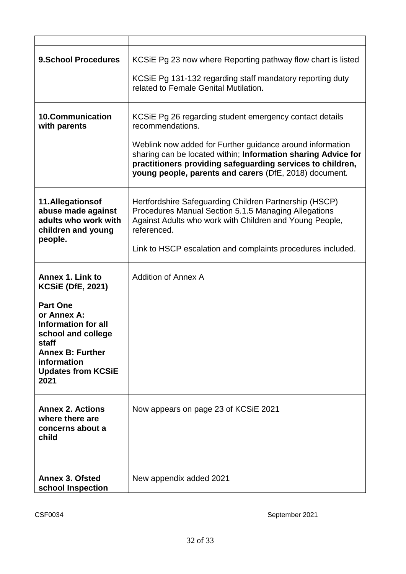| <b>9.School Procedures</b>                                                                                                                                                                                                        | KCSIE Pg 23 now where Reporting pathway flow chart is listed<br>KCSiE Pg 131-132 regarding staff mandatory reporting duty<br>related to Female Genital Mutilation.                                                                                                                                                                |
|-----------------------------------------------------------------------------------------------------------------------------------------------------------------------------------------------------------------------------------|-----------------------------------------------------------------------------------------------------------------------------------------------------------------------------------------------------------------------------------------------------------------------------------------------------------------------------------|
| <b>10.Communication</b><br>with parents                                                                                                                                                                                           | KCSIE Pg 26 regarding student emergency contact details<br>recommendations.<br>Weblink now added for Further guidance around information<br>sharing can be located within; Information sharing Advice for<br>practitioners providing safeguarding services to children,<br>young people, parents and carers (DfE, 2018) document. |
| 11.Allegationsof<br>abuse made against<br>adults who work with<br>children and young<br>people.                                                                                                                                   | Hertfordshire Safeguarding Children Partnership (HSCP)<br>Procedures Manual Section 5.1.5 Managing Allegations<br>Against Adults who work with Children and Young People,<br>referenced.<br>Link to HSCP escalation and complaints procedures included.                                                                           |
| <b>Annex 1. Link to</b><br><b>KCSIE (DfE, 2021)</b><br><b>Part One</b><br>or Annex A:<br><b>Information for all</b><br>school and college<br>staff<br><b>Annex B: Further</b><br>information<br><b>Updates from KCSiE</b><br>2021 | <b>Addition of Annex A</b>                                                                                                                                                                                                                                                                                                        |
| <b>Annex 2. Actions</b><br>where there are<br>concerns about a<br>child                                                                                                                                                           | Now appears on page 23 of KCSiE 2021                                                                                                                                                                                                                                                                                              |
| <b>Annex 3. Ofsted</b><br>school Inspection                                                                                                                                                                                       | New appendix added 2021                                                                                                                                                                                                                                                                                                           |